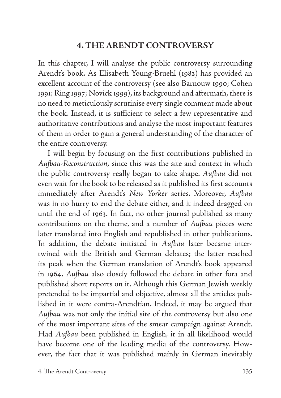# **4. THE ARENDT CONTROVERSY**

In this chapter, I will analyse the public controversy surrounding Arendt's book. As Elisabeth Young-Bruehl (1982) has provided an excellent account of the controversy (see also Barnouw 1990; Cohen 1991; Ring 1997; Novick 1999), its background and aftermath, there is no need to meticulously scrutinise every single comment made about the book. Instead, it is sufficient to select a few representative and authoritative contributions and analyse the most important features of them in order to gain a general understanding of the character of the entire controversy.

I will begin by focusing on the first contributions published in *Aufbau-Reconstruction,* since this was the site and context in which the public controversy really began to take shape. *Aufbau* did not even wait for the book to be released as it published its first accounts immediately after Arendt's *New Yorker* series. Moreover, *Aufbau* was in no hurry to end the debate either, and it indeed dragged on until the end of 1963. In fact, no other journal published as many contributions on the theme, and a number of *Aufbau* pieces were later translated into English and republished in other publications. In addition, the debate initiated in *Aufbau* later became intertwined with the British and German debates; the latter reached its peak when the German translation of Arendt's book appeared in 1964. *Aufbau* also closely followed the debate in other fora and published short reports on it. Although this German Jewish weekly pretended to be impartial and objective, almost all the articles published in it were contra-Arendtian. Indeed, it may be argued that *Aufbau* was not only the initial site of the controversy but also one of the most important sites of the smear campaign against Arendt. Had *Aufbau* been published in English, it in all likelihood would have become one of the leading media of the controversy. However, the fact that it was published mainly in German inevitably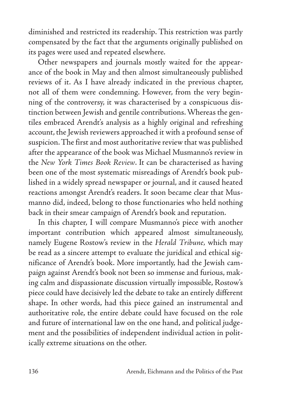diminished and restricted its readership. This restriction was partly compensated by the fact that the arguments originally published on its pages were used and repeated elsewhere.

Other newspapers and journals mostly waited for the appearance of the book in May and then almost simultaneously published reviews of it. As I have already indicated in the previous chapter, not all of them were condemning. However, from the very beginning of the controversy, it was characterised by a conspicuous distinction between Jewish and gentile contributions. Whereas the gentiles embraced Arendt's analysis as a highly original and refreshing account, the Jewish reviewers approached it with a profound sense of suspicion. The first and most authoritative review that was published after the appearance of the book was Michael Musmanno's review in the *New York Times Book Review*. It can be characterised as having been one of the most systematic misreadings of Arendt's book published in a widely spread newspaper or journal, and it caused heated reactions amongst Arendt's readers. It soon became clear that Musmanno did, indeed, belong to those functionaries who held nothing back in their smear campaign of Arendt's book and reputation.

In this chapter, I will compare Musmanno's piece with another important contribution which appeared almost simultaneously, namely Eugene Rostow's review in the *Herald Tribune,* which may be read as a sincere attempt to evaluate the juridical and ethical significance of Arendt's book. More importantly, had the Jewish campaign against Arendt's book not been so immense and furious, making calm and dispassionate discussion virtually impossible, Rostow's piece could have decisively led the debate to take an entirely different shape. In other words, had this piece gained an instrumental and authoritative role, the entire debate could have focused on the role and future of international law on the one hand, and political judgement and the possibilities of independent individual action in politically extreme situations on the other.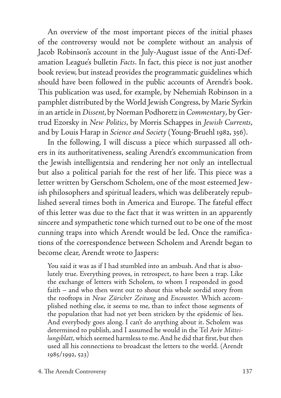An overview of the most important pieces of the initial phases of the controversy would not be complete without an analysis of Jacob Robinson's account in the July-August issue of the Anti-Defamation League's bulletin *Facts*. In fact, this piece is not just another book review, but instead provides the programmatic guidelines which should have been followed in the public accounts of Arendt's book. This publication was used, for example, by Nehemiah Robinson in a pamphlet distributed by the World Jewish Congress, by Marie Syrkin in an article in *Dissent*, by Norman Podhoretz in *Commentary*, by Gertrud Ezorsky in *New Politics*, by Morris Schappes in *Jewish Currents*, and by Louis Harap in *Science and Society* (Young-Bruehl 1982, 356).

In the following, I will discuss a piece which surpassed all others in its authoritativeness, sealing Arendt's excommunication from the Jewish intelligentsia and rendering her not only an intellectual but also a political pariah for the rest of her life. This piece was a letter written by Gerschom Scholem, one of the most esteemed Jewish philosophers and spiritual leaders, which was deliberately republished several times both in America and Europe. The fateful effect of this letter was due to the fact that it was written in an apparently sincere and sympathetic tone which turned out to be one of the most cunning traps into which Arendt would be led. Once the ramifications of the correspondence between Scholem and Arendt began to become clear, Arendt wrote to Jaspers:

You said it was as if I had stumbled into an ambush. And that is absolutely true. Everything proves, in retrospect, to have been a trap. Like the exchange of letters with Scholem, to whom I responded in good faith – and who then went out to shout this whole sordid story from the rooftops in *Neue Züricher Zeitung* and *Encounter.* Which accomplished nothing else, it seems to me, than to infect those segments of the population that had not yet been stricken by the epidemic of lies. And everybody goes along. I can't do anything about it. Scholem was determined to publish, and I assumed he would in the Tel Aviv *Mitteilungsblatt*, which seemed harmless to me. And he did that first, but then used all his connections to broadcast the letters to the world. (Arendt 1985/1992, 523)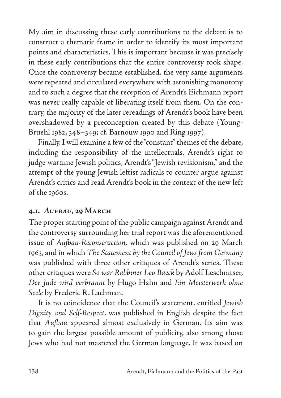My aim in discussing these early contributions to the debate is to construct a thematic frame in order to identify its most important points and characteristics. This is important because it was precisely in these early contributions that the entire controversy took shape. Once the controversy became established, the very same arguments were repeated and circulated everywhere with astonishing monotony and to such a degree that the reception of Arendt's Eichmann report was never really capable of liberating itself from them. On the contrary, the majority of the later rereadings of Arendt's book have been overshadowed by a preconception created by this debate (Young-Bruehl 1982, 348–349; cf. Barnouw 1990 and Ring 1997).

Finally, I will examine a few of the "constant" themes of the debate, including the responsibility of the intellectuals, Arendt's right to judge wartime Jewish politics, Arendt's "Jewish revisionism," and the attempt of the young Jewish leftist radicals to counter argue against Arendt's critics and read Arendt's book in the context of the new left of the 1960s.

#### **4.1.** *Aufbau***, 29 March**

The proper starting point of the public campaign against Arendt and the controversy surrounding her trial report was the aforementioned issue of *Aufbau-Reconstruction,* which was published on 29 March 1963, and in which *The Statement by the Council of Jews from Germany*  was published with three other critiques of Arendt's series. These other critiques were *So war Rabbiner Leo Baeck* by Adolf Leschnitser, *Der Jude wird verbrannt* by Hugo Hahn and *Ein Meisterwerk ohne Seele* by Frederic R. Lachman.

It is no coincidence that the Council's statement, entitled *Jewish Dignity and Self-Respect*, was published in English despite the fact that *Aufbau* appeared almost exclusively in German. Its aim was to gain the largest possible amount of publicity, also among those Jews who had not mastered the German language. It was based on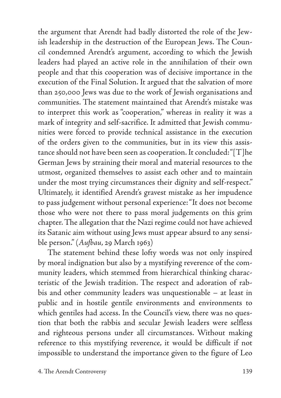the argument that Arendt had badly distorted the role of the Jewish leadership in the destruction of the European Jews. The Council condemned Arendt's argument, according to which the Jewish leaders had played an active role in the annihilation of their own people and that this cooperation was of decisive importance in the execution of the Final Solution. It argued that the salvation of more than 250,000 Jews was due to the work of Jewish organisations and communities. The statement maintained that Arendt's mistake was to interpret this work as "cooperation," whereas in reality it was a mark of integrity and self-sacrifice. It admitted that Jewish communities were forced to provide technical assistance in the execution of the orders given to the communities, but in its view this assistance should not have been seen as cooperation. It concluded: "[T]he German Jews by straining their moral and material resources to the utmost, organized themselves to assist each other and to maintain under the most trying circumstances their dignity and self-respect." Ultimately, it identified Arendt's gravest mistake as her impudence to pass judgement without personal experience: "It does not become those who were not there to pass moral judgements on this grim chapter. The allegation that the Nazi regime could not have achieved its Satanic aim without using Jews must appear absurd to any sensible person." (*Aufbau*, 29 March 1963)

The statement behind these lofty words was not only inspired by moral indignation but also by a mystifying reverence of the community leaders, which stemmed from hierarchical thinking characteristic of the Jewish tradition. The respect and adoration of rabbis and other community leaders was unquestionable – at least in public and in hostile gentile environments and environments to which gentiles had access. In the Council's view, there was no question that both the rabbis and secular Jewish leaders were selfless and righteous persons under all circumstances. Without making reference to this mystifying reverence, it would be difficult if not impossible to understand the importance given to the figure of Leo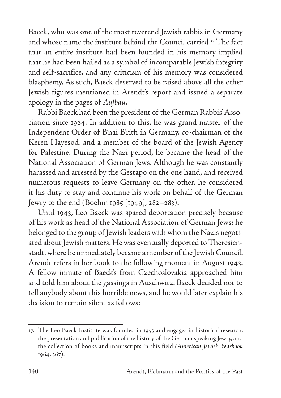Baeck, who was one of the most reverend Jewish rabbis in Germany and whose name the institute behind the Council carried.17 The fact that an entire institute had been founded in his memory implied that he had been hailed as a symbol of incomparable Jewish integrity and self-sacrifice, and any criticism of his memory was considered blasphemy. As such, Baeck deserved to be raised above all the other Jewish figures mentioned in Arendt's report and issued a separate apology in the pages of *Aufbau*.

Rabbi Baeck had been the president of the German Rabbis' Association since 1924. In addition to this, he was grand master of the Independent Order of B'nai B'rith in Germany, co-chairman of the Keren Hayesod, and a member of the board of the Jewish Agency for Palestine. During the Nazi period, he became the head of the National Association of German Jews. Although he was constantly harassed and arrested by the Gestapo on the one hand, and received numerous requests to leave Germany on the other, he considered it his duty to stay and continue his work on behalf of the German Jewry to the end (Boehm 1985 [1949], 282–283).

Until 1943, Leo Baeck was spared deportation precisely because of his work as head of the National Association of German Jews; he belonged to the group of Jewish leaders with whom the Nazis negotiated about Jewish matters. He was eventually deported to Theresienstadt, where he immediately became a member of the Jewish Council. Arendt refers in her book to the following moment in August 1943. A fellow inmate of Baeck's from Czechoslovakia approached him and told him about the gassings in Auschwitz. Baeck decided not to tell anybody about this horrible news, and he would later explain his decision to remain silent as follows:

<sup>17.</sup> The Leo Baeck Institute was founded in 1955 and engages in historical research, the presentation and publication of the history of the German speaking Jewry, and the collection of books and manuscripts in this field *(American Jewish Yearbook* 1964, 367).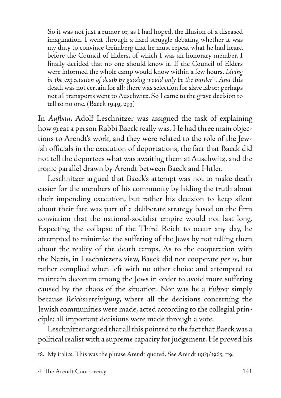So it was not just a rumor or, as I had hoped, the illusion of a diseased imagination. I went through a hard struggle debating whether it was my duty to convince Grünberg that he must repeat what he had heard before the Council of Elders, of which I was an honorary member. I finally decided that no one should know it. If the Council of Elders were informed the whole camp would know within a few hours. *Living*  in the expectation of death by gassing would only be the harder<sup>18</sup>. And this death was not certain for all: there was selection for slave labor; perhaps not all transports went to Auschwitz. So I came to the grave decision to tell to no one. (Baeck 1949, 293)

In *Aufbau,* Adolf Leschnitzer was assigned the task of explaining how great a person Rabbi Baeck really was. He had three main objections to Arendt's work, and they were related to the role of the Jewish officials in the execution of deportations, the fact that Baeck did not tell the deportees what was awaiting them at Auschwitz, and the ironic parallel drawn by Arendt between Baeck and Hitler.

Leschnitzer argued that Baeck's attempt was not to make death easier for the members of his community by hiding the truth about their impending execution, but rather his decision to keep silent about their fate was part of a deliberate strategy based on the firm conviction that the national-socialist empire would not last long. Expecting the collapse of the Third Reich to occur any day, he attempted to minimise the suffering of the Jews by not telling them about the reality of the death camps. As to the cooperation with the Nazis, in Leschnitzer's view, Baeck did not cooperate *per se,* but rather complied when left with no other choice and attempted to maintain decorum among the Jews in order to avoid more suffering caused by the chaos of the situation. Nor was he a *Führer* simply because *Reichsvereinigung*, where all the decisions concerning the Jewish communities were made, acted according to the collegial principle: all important decisions were made through a vote.

Leschnitzer argued that all this pointed to the fact that Baeck was a political realist with a supreme capacity for judgement. He proved his

<sup>18.</sup> My italics. This was the phrase Arendt quoted. See Arendt 1963/1965, 119.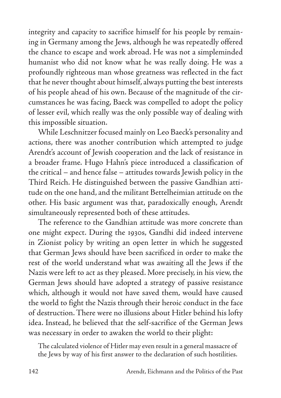integrity and capacity to sacrifice himself for his people by remaining in Germany among the Jews, although he was repeatedly offered the chance to escape and work abroad. He was not a simpleminded humanist who did not know what he was really doing. He was a profoundly righteous man whose greatness was reflected in the fact that he never thought about himself, always putting the best interests of his people ahead of his own. Because of the magnitude of the circumstances he was facing, Baeck was compelled to adopt the policy of lesser evil, which really was the only possible way of dealing with this impossible situation.

While Leschnitzer focused mainly on Leo Baeck's personality and actions, there was another contribution which attempted to judge Arendt's account of Jewish cooperation and the lack of resistance in a broader frame. Hugo Hahn's piece introduced a classification of the critical – and hence false – attitudes towards Jewish policy in the Third Reich. He distinguished between the passive Gandhian attitude on the one hand, and the militant Bettelheimian attitude on the other. His basic argument was that, paradoxically enough, Arendt simultaneously represented both of these attitudes.

The reference to the Gandhian attitude was more concrete than one might expect. During the 1930s, Gandhi did indeed intervene in Zionist policy by writing an open letter in which he suggested that German Jews should have been sacrificed in order to make the rest of the world understand what was awaiting all the Jews if the Nazis were left to act as they pleased. More precisely, in his view, the German Jews should have adopted a strategy of passive resistance which, although it would not have saved them, would have caused the world to fight the Nazis through their heroic conduct in the face of destruction. There were no illusions about Hitler behind his lofty idea. Instead, he believed that the self-sacrifice of the German Jews was necessary in order to awaken the world to their plight:

The calculated violence of Hitler may even result in a general massacre of the Jews by way of his first answer to the declaration of such hostilities.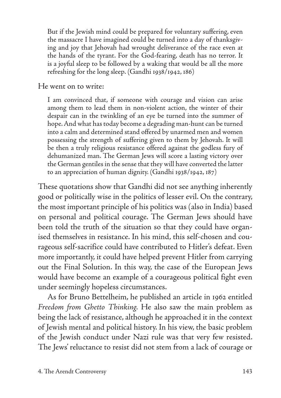But if the Jewish mind could be prepared for voluntary suffering, even the massacre I have imagined could be turned into a day of thanksgiving and joy that Jehovah had wrought deliverance of the race even at the hands of the tyrant. For the God-fearing, death has no terror. It is a joyful sleep to be followed by a waking that would be all the more refreshing for the long sleep. (Gandhi 1938/1942, 186)

He went on to write:

I am convinced that, if someone with courage and vision can arise among them to lead them in non-violent action, the winter of their despair can in the twinkling of an eye be turned into the summer of hope. And what has today become a degrading man-hunt can be turned into a calm and determined stand offered by unarmed men and women possessing the strength of suffering given to them by Jehovah. It will be then a truly religious resistance offered against the godless fury of dehumanized man. The German Jews will score a lasting victory over the German gentiles in the sense that they will have converted the latter to an appreciation of human dignity. (Gandhi 1938/1942, 187)

These quotations show that Gandhi did not see anything inherently good or politically wise in the politics of lesser evil. On the contrary, the most important principle of his politics was (also in India) based on personal and political courage. The German Jews should have been told the truth of the situation so that they could have organised themselves in resistance. In his mind, this self-chosen and courageous self-sacrifice could have contributed to Hitler's defeat. Even more importantly, it could have helped prevent Hitler from carrying out the Final Solution. In this way, the case of the European Jews would have become an example of a courageous political fight even under seemingly hopeless circumstances.

As for Bruno Bettelheim, he published an article in 1962 entitled *Freedom from Ghetto Thinking.* He also saw the main problem as being the lack of resistance, although he approached it in the context of Jewish mental and political history. In his view, the basic problem of the Jewish conduct under Nazi rule was that very few resisted. The Jews' reluctance to resist did not stem from a lack of courage or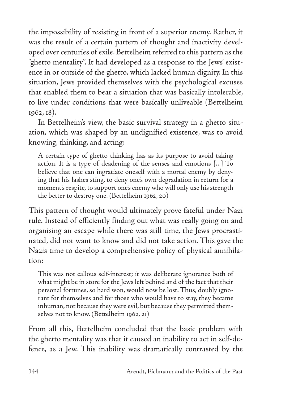the impossibility of resisting in front of a superior enemy. Rather, it was the result of a certain pattern of thought and inactivity developed over centuries of exile. Bettelheim referred to this pattern as the "ghetto mentality". It had developed as a response to the Jews' existence in or outside of the ghetto, which lacked human dignity. In this situation, Jews provided themselves with the psychological excuses that enabled them to bear a situation that was basically intolerable, to live under conditions that were basically unliveable (Bettelheim 1962, 18).

In Bettelheim's view, the basic survival strategy in a ghetto situation, which was shaped by an undignified existence, was to avoid knowing, thinking, and acting:

A certain type of ghetto thinking has as its purpose to avoid taking action. It is a type of deadening of the senses and emotions [...] To believe that one can ingratiate oneself with a mortal enemy by denying that his lashes sting, to deny one's own degradation in return for a moment's respite, to support one's enemy who will only use his strength the better to destroy one. (Bettelheim 1962, 20)

This pattern of thought would ultimately prove fateful under Nazi rule. Instead of efficiently finding out what was really going on and organising an escape while there was still time, the Jews procrastinated, did not want to know and did not take action. This gave the Nazis time to develop a comprehensive policy of physical annihilation:

This was not callous self-interest; it was deliberate ignorance both of what might be in store for the Jews left behind and of the fact that their personal fortunes, so hard won, would now be lost. Thus, doubly ignorant for themselves and for those who would have to stay, they became inhuman, not because they were evil, but because they permitted themselves not to know. (Bettelheim 1962, 21)

From all this, Bettelheim concluded that the basic problem with the ghetto mentality was that it caused an inability to act in self-defence, as a Jew. This inability was dramatically contrasted by the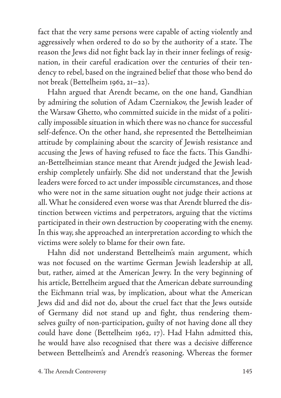fact that the very same persons were capable of acting violently and aggressively when ordered to do so by the authority of a state. The reason the Jews did not fight back lay in their inner feelings of resignation, in their careful eradication over the centuries of their tendency to rebel, based on the ingrained belief that those who bend do not break (Bettelheim 1962, 21–22).

Hahn argued that Arendt became, on the one hand, Gandhian by admiring the solution of Adam Czerniakov, the Jewish leader of the Warsaw Ghetto, who committed suicide in the midst of a politically impossible situation in which there was no chance for successful self-defence. On the other hand, she represented the Bettelheimian attitude by complaining about the scarcity of Jewish resistance and accusing the Jews of having refused to face the facts. This Gandhian-Bettelheimian stance meant that Arendt judged the Jewish leadership completely unfairly. She did not understand that the Jewish leaders were forced to act under impossible circumstances, and those who were not in the same situation ought not judge their actions at all. What he considered even worse was that Arendt blurred the distinction between victims and perpetrators, arguing that the victims participated in their own destruction by cooperating with the enemy. In this way, she approached an interpretation according to which the victims were solely to blame for their own fate.

Hahn did not understand Bettelheim's main argument, which was not focused on the wartime German Jewish leadership at all, but, rather, aimed at the American Jewry. In the very beginning of his article, Bettelheim argued that the American debate surrounding the Eichmann trial was, by implication, about what the American Jews did and did not do, about the cruel fact that the Jews outside of Germany did not stand up and fight, thus rendering themselves guilty of non-participation, guilty of not having done all they could have done (Bettelheim 1962, 17). Had Hahn admitted this, he would have also recognised that there was a decisive difference between Bettelheim's and Arendt's reasoning. Whereas the former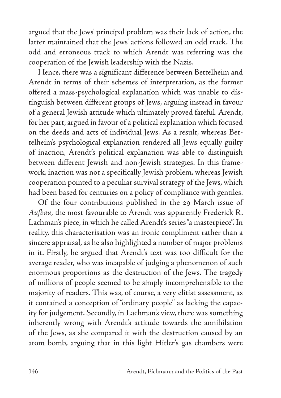argued that the Jews' principal problem was their lack of action, the latter maintained that the Jews' actions followed an odd track. The odd and erroneous track to which Arendt was referring was the cooperation of the Jewish leadership with the Nazis.

Hence, there was a significant difference between Bettelheim and Arendt in terms of their schemes of interpretation, as the former offered a mass-psychological explanation which was unable to distinguish between different groups of Jews, arguing instead in favour of a general Jewish attitude which ultimately proved fateful. Arendt, for her part, argued in favour of a political explanation which focused on the deeds and acts of individual Jews. As a result, whereas Bettelheim's psychological explanation rendered all Jews equally guilty of inaction, Arendt's political explanation was able to distinguish between different Jewish and non-Jewish strategies. In this framework, inaction was not a specifically Jewish problem, whereas Jewish cooperation pointed to a peculiar survival strategy of the Jews, which had been based for centuries on a policy of compliance with gentiles.

Of the four contributions published in the 29 March issue of *Aufbau,* the most favourable to Arendt was apparently Frederick R. Lachman's piece, in which he called Arendt's series "a masterpiece". In reality, this characterisation was an ironic compliment rather than a sincere appraisal, as he also highlighted a number of major problems in it. Firstly, he argued that Arendt's text was too difficult for the average reader, who was incapable of judging a phenomenon of such enormous proportions as the destruction of the Jews. The tragedy of millions of people seemed to be simply incomprehensible to the majority of readers. This was, of course, a very elitist assessment, as it contained a conception of "ordinary people" as lacking the capacity for judgement. Secondly, in Lachman's view, there was something inherently wrong with Arendt's attitude towards the annihilation of the Jews, as she compared it with the destruction caused by an atom bomb, arguing that in this light Hitler's gas chambers were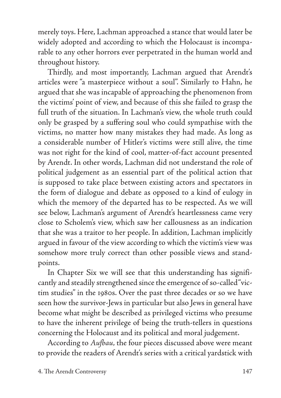merely toys. Here, Lachman approached a stance that would later be widely adopted and according to which the Holocaust is incomparable to any other horrors ever perpetrated in the human world and throughout history.

Thirdly, and most importantly, Lachman argued that Arendt's articles were "a masterpiece without a soul". Similarly to Hahn, he argued that she was incapable of approaching the phenomenon from the victims' point of view, and because of this she failed to grasp the full truth of the situation. In Lachman's view, the whole truth could only be grasped by a suffering soul who could sympathise with the victims, no matter how many mistakes they had made. As long as a considerable number of Hitler's victims were still alive, the time was not right for the kind of cool, matter-of-fact account presented by Arendt. In other words, Lachman did not understand the role of political judgement as an essential part of the political action that is supposed to take place between existing actors and spectators in the form of dialogue and debate as opposed to a kind of eulogy in which the memory of the departed has to be respected. As we will see below, Lachman's argument of Arendt's heartlessness came very close to Scholem's view, which saw her callousness as an indication that she was a traitor to her people. In addition, Lachman implicitly argued in favour of the view according to which the victim's view was somehow more truly correct than other possible views and standpoints.

In Chapter Six we will see that this understanding has significantly and steadily strengthened since the emergence of so-called "victim studies" in the 1980s. Over the past three decades or so we have seen how the survivor-Jews in particular but also Jews in general have become what might be described as privileged victims who presume to have the inherent privilege of being the truth-tellers in questions concerning the Holocaust and its political and moral judgement.

According to *Aufbau,* the four pieces discussed above were meant to provide the readers of Arendt's series with a critical yardstick with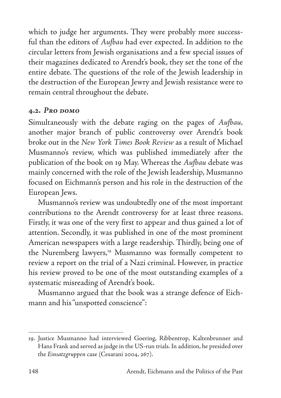which to judge her arguments. They were probably more successful than the editors of *Aufbau* had ever expected. In addition to the circular letters from Jewish organisations and a few special issues of their magazines dedicated to Arendt's book, they set the tone of the entire debate. The questions of the role of the Jewish leadership in the destruction of the European Jewry and Jewish resistance were to remain central throughout the debate.

#### **4.2.** *Pro domo*

Simultaneously with the debate raging on the pages of *Aufbau,*  another major branch of public controversy over Arendt's book broke out in the *New York Times Book Review* as a result of Michael Musmanno's review, which was published immediately after the publication of the book on 19 May. Whereas the *Aufbau* debate was mainly concerned with the role of the Jewish leadership, Musmanno focused on Eichmann's person and his role in the destruction of the European Jews.

Musmanno's review was undoubtedly one of the most important contributions to the Arendt controversy for at least three reasons. Firstly, it was one of the very first to appear and thus gained a lot of attention. Secondly, it was published in one of the most prominent American newspapers with a large readership. Thirdly, being one of the Nuremberg lawyers,<sup>19</sup> Musmanno was formally competent to review a report on the trial of a Nazi criminal. However, in practice his review proved to be one of the most outstanding examples of a systematic misreading of Arendt's book.

Musmanno argued that the book was a strange defence of Eichmann and his "unspotted conscience":

<sup>19.</sup> Justice Musmanno had interviewed Goering, Ribbentrop, Kaltenbrunner and Hans Frank and served as judge in the US-run trials. In addition, he presided over the *Einsatzgruppen* case (Cesarani 2004, 267).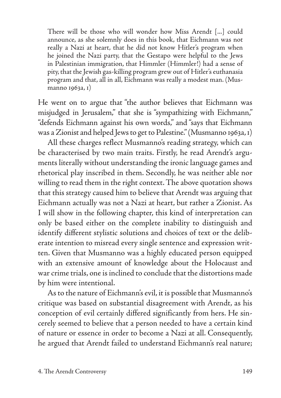There will be those who will wonder how Miss Arendt [...] could announce, as she solemnly does in this book, that Eichmann was not really a Nazi at heart, that he did not know Hitler's program when he joined the Nazi party, that the Gestapo were helpful to the Jews in Palestinian immigration, that Himmler (Himmler!) had a sense of pity, that the Jewish gas-killing program grew out of Hitler's euthanasia program and that, all in all, Eichmann was really a modest man. (Musmanno 1963a, 1)

He went on to argue that "the author believes that Eichmann was misjudged in Jerusalem," that she is "sympathizing with Eichmann," "defends Eichmann against his own words," and "says that Eichmann was a Zionist and helped Jews to get to Palestine." (Musmanno 1963a, 1)

All these charges reflect Musmanno's reading strategy, which can be characterised by two main traits. Firstly, he read Arendt's arguments literally without understanding the ironic language games and rhetorical play inscribed in them. Secondly, he was neither able nor willing to read them in the right context. The above quotation shows that this strategy caused him to believe that Arendt was arguing that Eichmann actually was not a Nazi at heart, but rather a Zionist. As I will show in the following chapter, this kind of interpretation can only be based either on the complete inability to distinguish and identify different stylistic solutions and choices of text or the deliberate intention to misread every single sentence and expression written. Given that Musmanno was a highly educated person equipped with an extensive amount of knowledge about the Holocaust and war crime trials, one is inclined to conclude that the distortions made by him were intentional.

As to the nature of Eichmann's evil, it is possible that Musmanno's critique was based on substantial disagreement with Arendt, as his conception of evil certainly differed significantly from hers. He sincerely seemed to believe that a person needed to have a certain kind of nature or essence in order to become a Nazi at all. Consequently, he argued that Arendt failed to understand Eichmann's real nature;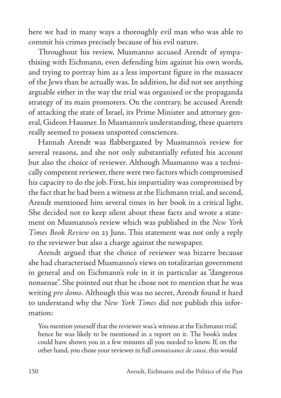here we had in many ways a thoroughly evil man who was able to commit his crimes precisely because of his evil nature.

Throughout his review, Musmanno accused Arendt of sympathising with Eichmann, even defending him against his own words, and trying to portray him as a less important figure in the massacre of the Jews than he actually was. In addition, he did not see anything arguable either in the way the trial was organised or the propaganda strategy of its main promoters. On the contrary, he accused Arendt of attacking the state of Israel, its Prime Minister and attorney general, Gideon Hausner. In Musmanno's understanding, these quarters really seemed to possess unspotted consciences.

Hannah Arendt was flabbergasted by Musmanno's review for several reasons, and she not only substantially refuted his account but also the choice of reviewer. Although Musmanno was a technically competent reviewer, there were two factors which compromised his capacity to do the job. First, his impartiality was compromised by the fact that he had been a witness at the Eichmann trial, and second, Arendt mentioned him several times in her book in a critical light. She decided not to keep silent about these facts and wrote a statement on Musmanno's review which was published in the *New York Times Book Review* on 23 June. This statement was not only a reply to the reviewer but also a charge against the newspaper.

Arendt argued that the choice of reviewer was bizarre because she had characterised Musmanno's views on totalitarian government in general and on Eichmann's role in it in particular as "dangerous nonsense". She pointed out that he chose not to mention that he was writing *pro domo*. Although this was no secret, Arendt found it hard to understand why the *New York Times* did not publish this information:

You mention yourself that the reviewer was 'a witness at the Eichmann trial', hence he was likely to be mentioned in a report on it. The book's index could have shown you in a few minutes all you needed to know. If, on the other hand, you chose your reviewer in full *connaissance de cause,* this would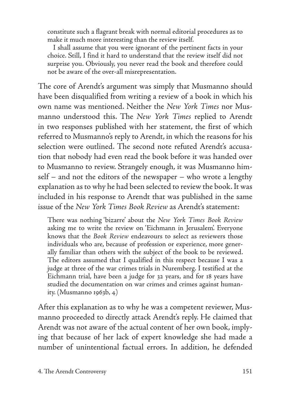constitute such a flagrant break with normal editorial procedures as to make it much more interesting than the review itself.

I shall assume that you were ignorant of the pertinent facts in your choice. Still, I find it hard to understand that the review itself did not surprise you. Obviously, you never read the book and therefore could not be aware of the over-all misrepresentation.

The core of Arendt's argument was simply that Musmanno should have been disqualified from writing a review of a book in which his own name was mentioned. Neither the *New York Times* nor Musmanno understood this. The *New York Times* replied to Arendt in two responses published with her statement, the first of which referred to Musmanno's reply to Arendt, in which the reasons for his selection were outlined. The second note refuted Arendt's accusation that nobody had even read the book before it was handed over to Musmanno to review. Strangely enough, it was Musmanno himself – and not the editors of the newspaper – who wrote a lengthy explanation as to why he had been selected to review the book. It was included in his response to Arendt that was published in the same issue of the *New York Times Book Review* as Arendt's statement:

There was nothing 'bizarre' about the *New York Times Book Review* asking me to write the review on 'Eichmann in Jerusalem'. Everyone knows that the *Book Review* endeavours to select as reviewers those individuals who are, because of profession or experience, more generally familiar than others with the subject of the book to be reviewed. The editors assumed that I qualified in this respect because I was a judge at three of the war crimes trials in Nuremberg. I testified at the Eichmann trial, have been a judge for 32 years, and for 18 years have studied the documentation on war crimes and crimes against humanity. (Musmanno 1963b,  $4$ )

After this explanation as to why he was a competent reviewer, Musmanno proceeded to directly attack Arendt's reply. He claimed that Arendt was not aware of the actual content of her own book, implying that because of her lack of expert knowledge she had made a number of unintentional factual errors. In addition, he defended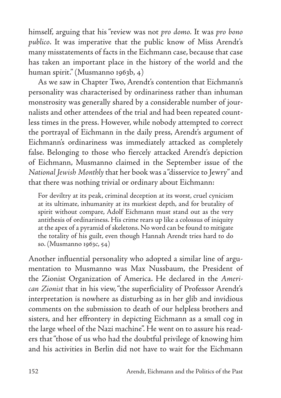himself, arguing that his "review was not *pro domo.* It was *pro bono publico*. It was imperative that the public know of Miss Arendt's many misstatements of facts in the Eichmann case, because that case has taken an important place in the history of the world and the human spirit." (Musmanno 1963b, 4)

As we saw in Chapter Two, Arendt's contention that Eichmann's personality was characterised by ordinariness rather than inhuman monstrosity was generally shared by a considerable number of journalists and other attendees of the trial and had been repeated countless times in the press. However, while nobody attempted to correct the portrayal of Eichmann in the daily press, Arendt's argument of Eichmann's ordinariness was immediately attacked as completely false. Belonging to those who fiercely attacked Arendt's depiction of Eichmann, Musmanno claimed in the September issue of the *National Jewish Monthly* that her book was a "disservice to Jewry" and that there was nothing trivial or ordinary about Eichmann:

For deviltry at its peak, criminal deception at its worst, cruel cynicism at its ultimate, inhumanity at its murkiest depth, and for brutality of spirit without compare, Adolf Eichmann must stand out as the very antithesis of ordinariness. His crime rears up like a colossus of iniquity at the apex of a pyramid of skeletons. No word can be found to mitigate the totality of his guilt, even though Hannah Arendt tries hard to do so. (Musmanno 1963c, 54)

Another influential personality who adopted a similar line of argumentation to Musmanno was Max Nussbaum, the President of the Zionist Organization of America. He declared in the *American Zionist* that in his view, "the superficiality of Professor Arendt's interpretation is nowhere as disturbing as in her glib and invidious comments on the submission to death of our helpless brothers and sisters, and her effrontery in depicting Eichmann as a small cog in the large wheel of the Nazi machine". He went on to assure his readers that "those of us who had the doubtful privilege of knowing him and his activities in Berlin did not have to wait for the Eichmann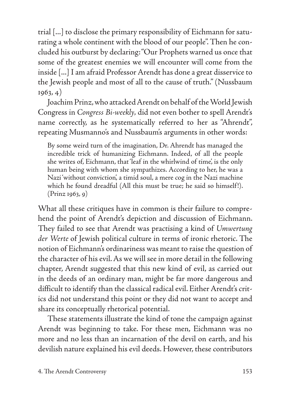trial [...] to disclose the primary responsibility of Eichmann for saturating a whole continent with the blood of our people". Then he concluded his outburst by declaring: "Our Prophets warned us once that some of the greatest enemies we will encounter will come from the inside [...] I am afraid Professor Arendt has done a great disservice to the Jewish people and most of all to the cause of truth." (Nussbaum 1963, 4)

Joachim Prinz, who attacked Arendt on behalf of the World Jewish Congress in *Congress Bi-weekly,* did not even bother to spell Arendt's name correctly, as he systematically referred to her as "Ahrendt", repeating Musmanno's and Nussbaum's arguments in other words:

By some weird turn of the imagination, Dr. Ahrendt has managed the incredible trick of humanizing Eichmann. Indeed, of all the people she writes of, Eichmann, that 'leaf in the whirlwind of time', is the only human being with whom she sympathizes. According to her, he was a Nazi 'without conviction', a timid soul, a mere cog in the Nazi machine which he found dreadful (All this must be true; he said so himself!). (Prinz 1963, 9)

What all these critiques have in common is their failure to comprehend the point of Arendt's depiction and discussion of Eichmann. They failed to see that Arendt was practising a kind of *Umwertung der Werte* of Jewish political culture in terms of ironic rhetoric. The notion of Eichmann's ordinariness was meant to raise the question of the character of his evil. As we will see in more detail in the following chapter, Arendt suggested that this new kind of evil, as carried out in the deeds of an ordinary man, might be far more dangerous and difficult to identify than the classical radical evil. Either Arendt's critics did not understand this point or they did not want to accept and share its conceptually rhetorical potential.

These statements illustrate the kind of tone the campaign against Arendt was beginning to take. For these men, Eichmann was no more and no less than an incarnation of the devil on earth, and his devilish nature explained his evil deeds. However, these contributors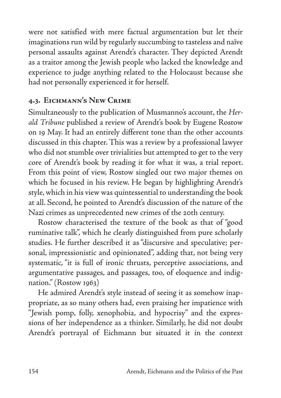were not satisfied with mere factual argumentation but let their imaginations run wild by regularly succumbing to tasteless and naïve personal assaults against Arendt's character. They depicted Arendt as a traitor among the Jewish people who lacked the knowledge and experience to judge anything related to the Holocaust because she had not personally experienced it for herself.

# **4.3. Eichmann's New Crime**

Simultaneously to the publication of Musmanno's account, the *Herald Tribune* published a review of Arendt's book by Eugene Rostow on 19 May. It had an entirely different tone than the other accounts discussed in this chapter. This was a review by a professional lawyer who did not stumble over trivialities but attempted to get to the very core of Arendt's book by reading it for what it was, a trial report. From this point of view, Rostow singled out two major themes on which he focused in his review. He began by highlighting Arendt's style, which in his view was quintessential to understanding the book at all. Second, he pointed to Arendt's discussion of the nature of the Nazi crimes as unprecedented new crimes of the 20th century.

Rostow characterised the texture of the book as that of "good ruminative talk", which he clearly distinguished from pure scholarly studies. He further described it as "discursive and speculative; personal, impressionistic and opinionated", adding that, not being very systematic, "it is full of ironic thrusts, perceptive associations, and argumentative passages, and passages, too, of eloquence and indignation." (Rostow 1963)

He admired Arendt's style instead of seeing it as somehow inappropriate, as so many others had, even praising her impatience with "Jewish pomp, folly, xenophobia, and hypocrisy" and the expressions of her independence as a thinker. Similarly, he did not doubt Arendt's portrayal of Eichmann but situated it in the context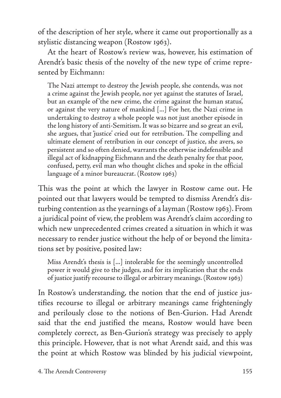of the description of her style, where it came out proportionally as a stylistic distancing weapon (Rostow 1963).

At the heart of Rostow's review was, however, his estimation of Arendt's basic thesis of the novelty of the new type of crime represented by Eichmann:

The Nazi attempt to destroy the Jewish people, she contends, was not a crime against the Jewish people, nor yet against the statutes of Israel, but an example of 'the new crime, the crime against the human status', or against the very nature of mankind [...] For her, the Nazi crime in undertaking to destroy a whole people was not just another episode in the long history of anti-Semitism. It was so bizarre and so great an evil, she argues, that 'justice' cried out for retribution. The compelling and ultimate element of retribution in our concept of justice, she avers, so persistent and so often denied, warrants the otherwise indefensible and illegal act of kidnapping Eichmann and the death penalty for that poor, confused, petty, evil man who thought cliches and spoke in the official language of a minor bureaucrat. (Rostow 1963)

This was the point at which the lawyer in Rostow came out. He pointed out that lawyers would be tempted to dismiss Arendt's disturbing contention as the yearnings of a layman (Rostow 1963). From a juridical point of view, the problem was Arendt's claim according to which new unprecedented crimes created a situation in which it was necessary to render justice without the help of or beyond the limitations set by positive, posited law:

Miss Arendt's thesis is [...] intolerable for the seemingly uncontrolled power it would give to the judges, and for its implication that the ends of justice justify recourse to illegal or arbitrary meanings. (Rostow 1963)

In Rostow's understanding, the notion that the end of justice justifies recourse to illegal or arbitrary meanings came frighteningly and perilously close to the notions of Ben-Gurion. Had Arendt said that the end justified the means, Rostow would have been completely correct, as Ben-Gurion's strategy was precisely to apply this principle. However, that is not what Arendt said, and this was the point at which Rostow was blinded by his judicial viewpoint,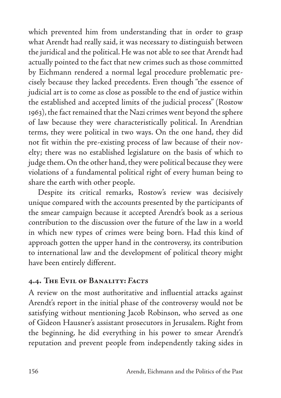which prevented him from understanding that in order to grasp what Arendt had really said, it was necessary to distinguish between the juridical and the political. He was not able to see that Arendt had actually pointed to the fact that new crimes such as those committed by Eichmann rendered a normal legal procedure problematic precisely because they lacked precedents. Even though "the essence of judicial art is to come as close as possible to the end of justice within the established and accepted limits of the judicial process" (Rostow 1963), the fact remained that the Nazi crimes went beyond the sphere of law because they were characteristically political. In Arendtian terms, they were political in two ways. On the one hand, they did not fit within the pre-existing process of law because of their novelty; there was no established legislature on the basis of which to judge them. On the other hand, they were political because they were violations of a fundamental political right of every human being to share the earth with other people.

Despite its critical remarks, Rostow's review was decisively unique compared with the accounts presented by the participants of the smear campaign because it accepted Arendt's book as a serious contribution to the discussion over the future of the law in a world in which new types of crimes were being born. Had this kind of approach gotten the upper hand in the controversy, its contribution to international law and the development of political theory might have been entirely different.

## **4.4. The Evil of Banality:** *Facts*

A review on the most authoritative and influential attacks against Arendt's report in the initial phase of the controversy would not be satisfying without mentioning Jacob Robinson, who served as one of Gideon Hausner's assistant prosecutors in Jerusalem. Right from the beginning, he did everything in his power to smear Arendt's reputation and prevent people from independently taking sides in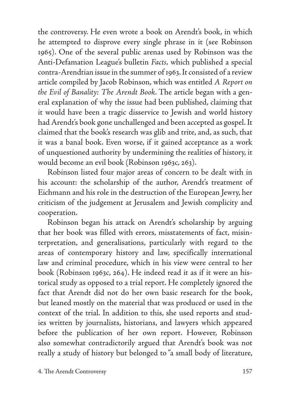the controversy. He even wrote a book on Arendt's book, in which he attempted to disprove every single phrase in it (see Robinson 1965). One of the several public arenas used by Robinson was the Anti-Defamation League's bulletin *Facts,* which published a special contra-Arendtian issue in the summer of 1963. It consisted of a review article compiled by Jacob Robinson, which was entitled *A Report on the Evil of Banality: The Arendt Book*. The article began with a general explanation of why the issue had been published, claiming that it would have been a tragic disservice to Jewish and world history had Arendt's book gone unchallenged and been accepted as gospel. It claimed that the book's research was glib and trite, and, as such, that it was a banal book. Even worse, if it gained acceptance as a work of unquestioned authority by undermining the realities of history, it would become an evil book (Robinson 1963c, 263).

Robinson listed four major areas of concern to be dealt with in his account: the scholarship of the author, Arendt's treatment of Eichmann and his role in the destruction of the European Jewry, her criticism of the judgement at Jerusalem and Jewish complicity and cooperation.

Robinson began his attack on Arendt's scholarship by arguing that her book was filled with errors, misstatements of fact, misinterpretation, and generalisations, particularly with regard to the areas of contemporary history and law, specifically international law and criminal procedure, which in his view were central to her book (Robinson 1963c, 264). He indeed read it as if it were an historical study as opposed to a trial report. He completely ignored the fact that Arendt did not do her own basic research for the book, but leaned mostly on the material that was produced or used in the context of the trial. In addition to this, she used reports and studies written by journalists, historians, and lawyers which appeared before the publication of her own report. However, Robinson also somewhat contradictorily argued that Arendt's book was not really a study of history but belonged to "a small body of literature,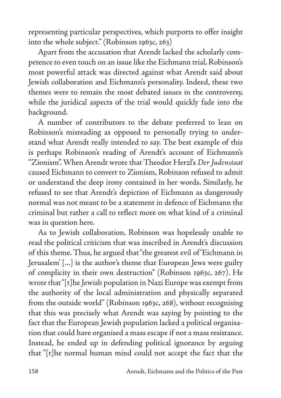representing particular perspectives, which purports to offer insight into the whole subject." (Robinson 1963c, 263)

Apart from the accusation that Arendt lacked the scholarly competence to even touch on an issue like the Eichmann trial, Robinson's most powerful attack was directed against what Arendt said about Jewish collaboration and Eichmann's personality. Indeed, these two themes were to remain the most debated issues in the controversy, while the juridical aspects of the trial would quickly fade into the background.

A number of contributors to the debate preferred to lean on Robinson's misreading as opposed to personally trying to understand what Arendt really intended to say. The best example of this is perhaps Robinson's reading of Arendt's account of Eichmann's "Zionism". When Arendt wrote that Theodor Herzl's *Der Judenstaat*  caused Eichmann to convert to Zionism, Robinson refused to admit or understand the deep irony contained in her words. Similarly, he refused to see that Arendt's depiction of Eichmann as dangerously normal was not meant to be a statement in defence of Eichmann the criminal but rather a call to reflect more on what kind of a criminal was in question here.

As to Jewish collaboration, Robinson was hopelessly unable to read the political criticism that was inscribed in Arendt's discussion of this theme. Thus, he argued that "the greatest evil of 'Eichmann in Jerusalem' [...] is the author's theme that European Jews were guilty of complicity in their own destruction" (Robinson 1963c, 267). He wrote that "[t]he Jewish population in Nazi Europe was exempt from the authority of the local administration and physically separated from the outside world" (Robinson 1963c, 268), without recognising that this was precisely what Arendt was saying by pointing to the fact that the European Jewish population lacked a political organisation that could have organised a mass escape if not a mass resistance. Instead, he ended up in defending political ignorance by arguing that "[t]he normal human mind could not accept the fact that the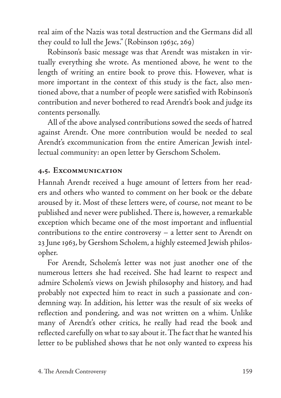real aim of the Nazis was total destruction and the Germans did all they could to lull the Jews." (Robinson 1963c, 269)

Robinson's basic message was that Arendt was mistaken in virtually everything she wrote. As mentioned above, he went to the length of writing an entire book to prove this. However, what is more important in the context of this study is the fact, also mentioned above, that a number of people were satisfied with Robinson's contribution and never bothered to read Arendt's book and judge its contents personally.

All of the above analysed contributions sowed the seeds of hatred against Arendt. One more contribution would be needed to seal Arendt's excommunication from the entire American Jewish intellectual community: an open letter by Gerschom Scholem.

#### **4.5. Excommunication**

Hannah Arendt received a huge amount of letters from her readers and others who wanted to comment on her book or the debate aroused by it. Most of these letters were, of course, not meant to be published and never were published. There is, however, a remarkable exception which became one of the most important and influential contributions to the entire controversy – a letter sent to Arendt on 23 June 1963, by Gershom Scholem, a highly esteemed Jewish philosopher.

For Arendt, Scholem's letter was not just another one of the numerous letters she had received. She had learnt to respect and admire Scholem's views on Jewish philosophy and history, and had probably not expected him to react in such a passionate and condemning way. In addition, his letter was the result of six weeks of reflection and pondering, and was not written on a whim. Unlike many of Arendt's other critics, he really had read the book and reflected carefully on what to say about it. The fact that he wanted his letter to be published shows that he not only wanted to express his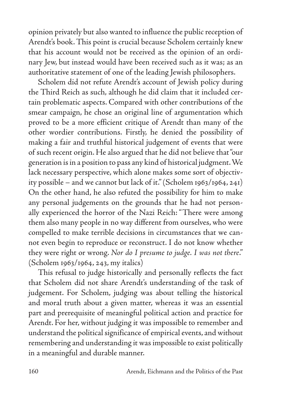opinion privately but also wanted to influence the public reception of Arendt's book. This point is crucial because Scholem certainly knew that his account would not be received as the opinion of an ordinary Jew, but instead would have been received such as it was; as an authoritative statement of one of the leading Jewish philosophers.

Scholem did not refute Arendt's account of Jewish policy during the Third Reich as such, although he did claim that it included certain problematic aspects. Compared with other contributions of the smear campaign, he chose an original line of argumentation which proved to be a more efficient critique of Arendt than many of the other wordier contributions. Firstly, he denied the possibility of making a fair and truthful historical judgement of events that were of such recent origin. He also argued that he did not believe that "our generation is in a position to pass any kind of historical judgment. We lack necessary perspective, which alone makes some sort of objectivity possible – and we cannot but lack of it." (Scholem 1963/1964, 241) On the other hand, he also refuted the possibility for him to make any personal judgements on the grounds that he had not personally experienced the horror of the Nazi Reich: "There were among them also many people in no way different from ourselves, who were compelled to make terrible decisions in circumstances that we cannot even begin to reproduce or reconstruct. I do not know whether they were right or wrong. *Nor do I presume to judge. I was not there*." (Scholem 1963/1964, 243, my italics)

This refusal to judge historically and personally reflects the fact that Scholem did not share Arendt's understanding of the task of judgement. For Scholem, judging was about telling the historical and moral truth about a given matter, whereas it was an essential part and prerequisite of meaningful political action and practice for Arendt. For her, without judging it was impossible to remember and understand the political significance of empirical events, and without remembering and understanding it was impossible to exist politically in a meaningful and durable manner.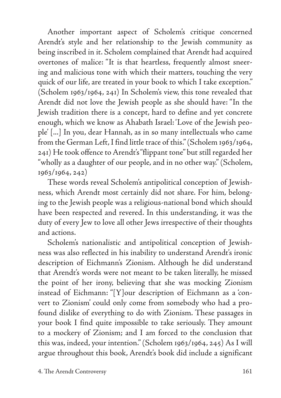Another important aspect of Scholem's critique concerned Arendt's style and her relationship to the Jewish community as being inscribed in it. Scholem complained that Arendt had acquired overtones of malice: "It is that heartless, frequently almost sneering and malicious tone with which their matters, touching the very quick of our life, are treated in your book to which I take exception." (Scholem 1963/1964, 241) In Scholem's view, this tone revealed that Arendt did not love the Jewish people as she should have: "In the Jewish tradition there is a concept, hard to define and yet concrete enough, which we know as Ahabath Israel: 'Love of the Jewish people' [...] In you, dear Hannah, as in so many intellectuals who came from the German Left, I find little trace of this." (Scholem 1963/1964, 241) He took offence to Arendt's "flippant tone" but still regarded her "wholly as a daughter of our people, and in no other way." (Scholem, 1963/1964, 242)

These words reveal Scholem's antipolitical conception of Jewishness, which Arendt most certainly did not share. For him, belonging to the Jewish people was a religious-national bond which should have been respected and revered. In this understanding, it was the duty of every Jew to love all other Jews irrespective of their thoughts and actions.

Scholem's nationalistic and antipolitical conception of Jewishness was also reflected in his inability to understand Arendt's ironic description of Eichmann's Zionism. Although he did understand that Arendt's words were not meant to be taken literally, he missed the point of her irony, believing that she was mocking Zionism instead of Eichmann: "[Y]our description of Eichmann as a 'convert to Zionism' could only come from somebody who had a profound dislike of everything to do with Zionism. These passages in your book I find quite impossible to take seriously. They amount to a mockery of Zionism; and I am forced to the conclusion that this was, indeed, your intention." (Scholem 1963/1964, 245) As I will argue throughout this book, Arendt's book did include a significant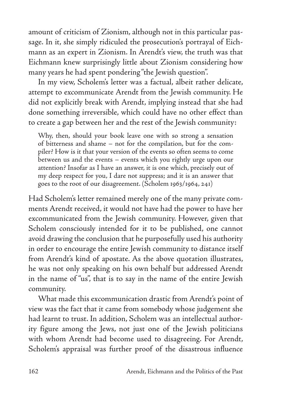amount of criticism of Zionism, although not in this particular passage. In it, she simply ridiculed the prosecution's portrayal of Eichmann as an expert in Zionism. In Arendt's view, the truth was that Eichmann knew surprisingly little about Zionism considering how many years he had spent pondering "the Jewish question".

In my view, Scholem's letter was a factual, albeit rather delicate, attempt to excommunicate Arendt from the Jewish community. He did not explicitly break with Arendt, implying instead that she had done something irreversible, which could have no other effect than to create a gap between her and the rest of the Jewish community:

Why, then, should your book leave one with so strong a sensation of bitterness and shame – not for the compilation, but for the compiler? How is it that your version of the events so often seems to come between us and the events – events which you rightly urge upon our attention? Insofar as I have an answer, it is one which, precisely out of my deep respect for you, I dare not suppress; and it is an answer that goes to the root of our disagreement. (Scholem 1963/1964, 241)

Had Scholem's letter remained merely one of the many private comments Arendt received, it would not have had the power to have her excommunicated from the Jewish community. However, given that Scholem consciously intended for it to be published, one cannot avoid drawing the conclusion that he purposefully used his authority in order to encourage the entire Jewish community to distance itself from Arendt's kind of apostate. As the above quotation illustrates, he was not only speaking on his own behalf but addressed Arendt in the name of "us", that is to say in the name of the entire Jewish community.

What made this excommunication drastic from Arendt's point of view was the fact that it came from somebody whose judgement she had learnt to trust. In addition, Scholem was an intellectual authority figure among the Jews, not just one of the Jewish politicians with whom Arendt had become used to disagreeing. For Arendt, Scholem's appraisal was further proof of the disastrous influence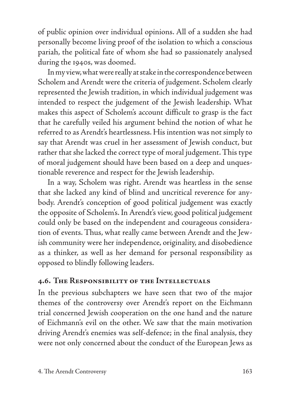of public opinion over individual opinions. All of a sudden she had personally become living proof of the isolation to which a conscious pariah, the political fate of whom she had so passionately analysed during the 1940s, was doomed.

In my view, what were really at stake in the correspondence between Scholem and Arendt were the criteria of judgement. Scholem clearly represented the Jewish tradition, in which individual judgement was intended to respect the judgement of the Jewish leadership. What makes this aspect of Scholem's account difficult to grasp is the fact that he carefully veiled his argument behind the notion of what he referred to as Arendt's heartlessness. His intention was not simply to say that Arendt was cruel in her assessment of Jewish conduct, but rather that she lacked the correct type of moral judgement. This type of moral judgement should have been based on a deep and unquestionable reverence and respect for the Jewish leadership.

In a way, Scholem was right. Arendt was heartless in the sense that she lacked any kind of blind and uncritical reverence for anybody. Arendt's conception of good political judgement was exactly the opposite of Scholem's. In Arendt's view, good political judgement could only be based on the independent and courageous consideration of events. Thus, what really came between Arendt and the Jewish community were her independence, originality, and disobedience as a thinker, as well as her demand for personal responsibility as opposed to blindly following leaders.

## **4.6. The Responsibility of the Intellectuals**

In the previous subchapters we have seen that two of the major themes of the controversy over Arendt's report on the Eichmann trial concerned Jewish cooperation on the one hand and the nature of Eichmann's evil on the other. We saw that the main motivation driving Arendt's enemies was self-defence; in the final analysis, they were not only concerned about the conduct of the European Jews as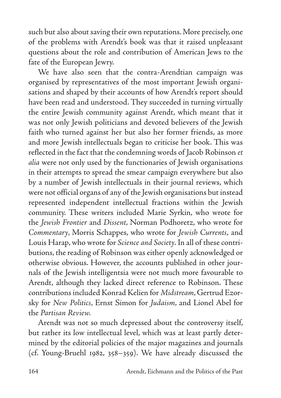such but also about saving their own reputations. More precisely, one of the problems with Arendt's book was that it raised unpleasant questions about the role and contribution of American Jews to the fate of the European Jewry.

We have also seen that the contra-Arendtian campaign was organised by representatives of the most important Jewish organisations and shaped by their accounts of how Arendt's report should have been read and understood. They succeeded in turning virtually the entire Jewish community against Arendt, which meant that it was not only Jewish politicians and devoted believers of the Jewish faith who turned against her but also her former friends, as more and more Jewish intellectuals began to criticise her book. This was reflected in the fact that the condemning words of Jacob Robinson *et alia* were not only used by the functionaries of Jewish organisations in their attempts to spread the smear campaign everywhere but also by a number of Jewish intellectuals in their journal reviews, which were not official organs of any of the Jewish organisations but instead represented independent intellectual fractions within the Jewish community. These writers included Marie Syrkin, who wrote for the *Jewish Frontier* and *Dissent*, Norman Podhoretz, who wrote for *Commentary*, Morris Schappes, who wrote for *Jewish Currents*, and Louis Harap, who wrote for *Science and Society*. In all of these contributions, the reading of Robinson was either openly acknowledged or otherwise obvious. However, the accounts published in other journals of the Jewish intelligentsia were not much more favourable to Arendt, although they lacked direct reference to Robinson. These contributions included Konrad Kelien for *Midstream*, Gertrud Ezorsky for *New Politics*, Ernst Simon for *Judaism*, and Lionel Abel for the *Partisan Review.*

Arendt was not so much depressed about the controversy itself, but rather its low intellectual level, which was at least partly determined by the editorial policies of the major magazines and journals (cf. Young-Bruehl 1982, 358–359). We have already discussed the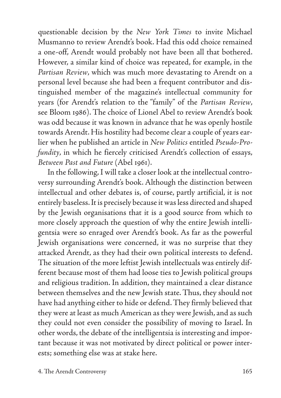questionable decision by the *New York Times* to invite Michael Musmanno to review Arendt's book. Had this odd choice remained a one-off, Arendt would probably not have been all that bothered. However, a similar kind of choice was repeated, for example, in the *Partisan Review*, which was much more devastating to Arendt on a personal level because she had been a frequent contributor and distinguished member of the magazine's intellectual community for years (for Arendt's relation to the "family" of the *Partisan Review*, see Bloom 1986). The choice of Lionel Abel to review Arendt's book was odd because it was known in advance that he was openly hostile towards Arendt. His hostility had become clear a couple of years earlier when he published an article in *New Politics* entitled *Pseudo*-*Profundity*, in which he fiercely criticised Arendt's collection of essays, *Between Past and Future* (Abel 1961).

In the following, I will take a closer look at the intellectual controversy surrounding Arendt's book. Although the distinction between intellectual and other debates is, of course, partly artificial, it is not entirely baseless. It is precisely because it was less directed and shaped by the Jewish organisations that it is a good source from which to more closely approach the question of why the entire Jewish intelligentsia were so enraged over Arendt's book. As far as the powerful Jewish organisations were concerned, it was no surprise that they attacked Arendt, as they had their own political interests to defend. The situation of the more leftist Jewish intellectuals was entirely different because most of them had loose ties to Jewish political groups and religious tradition. In addition, they maintained a clear distance between themselves and the new Jewish state. Thus, they should not have had anything either to hide or defend. They firmly believed that they were at least as much American as they were Jewish, and as such they could not even consider the possibility of moving to Israel. In other words, the debate of the intelligentsia is interesting and important because it was not motivated by direct political or power interests; something else was at stake here.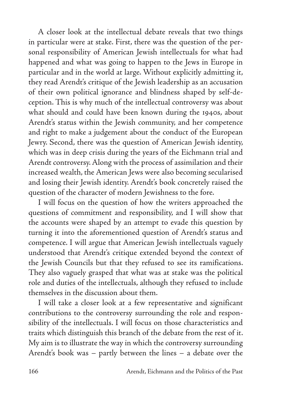A closer look at the intellectual debate reveals that two things in particular were at stake. First, there was the question of the personal responsibility of American Jewish intellectuals for what had happened and what was going to happen to the Jews in Europe in particular and in the world at large. Without explicitly admitting it, they read Arendt's critique of the Jewish leadership as an accusation of their own political ignorance and blindness shaped by self-deception. This is why much of the intellectual controversy was about what should and could have been known during the 1940s, about Arendt's status within the Jewish community, and her competence and right to make a judgement about the conduct of the European Jewry. Second, there was the question of American Jewish identity, which was in deep crisis during the years of the Eichmann trial and Arendt controversy. Along with the process of assimilation and their increased wealth, the American Jews were also becoming secularised and losing their Jewish identity. Arendt's book concretely raised the question of the character of modern Jewishness to the fore.

I will focus on the question of how the writers approached the questions of commitment and responsibility, and I will show that the accounts were shaped by an attempt to evade this question by turning it into the aforementioned question of Arendt's status and competence. I will argue that American Jewish intellectuals vaguely understood that Arendt's critique extended beyond the context of the Jewish Councils but that they refused to see its ramifications. They also vaguely grasped that what was at stake was the political role and duties of the intellectuals, although they refused to include themselves in the discussion about them.

I will take a closer look at a few representative and significant contributions to the controversy surrounding the role and responsibility of the intellectuals. I will focus on those characteristics and traits which distinguish this branch of the debate from the rest of it. My aim is to illustrate the way in which the controversy surrounding Arendt's book was – partly between the lines – a debate over the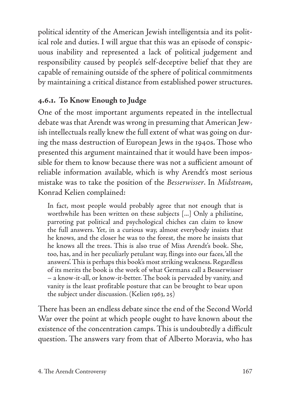political identity of the American Jewish intelligentsia and its political role and duties. I will argue that this was an episode of conspicuous inability and represented a lack of political judgement and responsibility caused by people's self-deceptive belief that they are capable of remaining outside of the sphere of political commitments by maintaining a critical distance from established power structures.

# **4.6.1. To Know Enough to Judge**

One of the most important arguments repeated in the intellectual debate was that Arendt was wrong in presuming that American Jewish intellectuals really knew the full extent of what was going on during the mass destruction of European Jews in the 1940s. Those who presented this argument maintained that it would have been impossible for them to know because there was not a sufficient amount of reliable information available, which is why Arendt's most serious mistake was to take the position of the *Besserwisser*. In *Midstream*, Konrad Kelien complained:

In fact, most people would probably agree that not enough that is worthwhile has been written on these subjects [...] Only a philistine, parroting pat political and psychological chiches can claim to know the full answers. Yet, in a curious way, almost everybody insists that he knows, and the closer he was to the forest, the more he insists that he knows all the trees. This is also true of Miss Arendt's book. She, too, has, and in her peculiarly petulant way, flings into our faces, 'all the answers'. This is perhaps this book's most striking weakness. Regardless of its merits the book is the work of what Germans call a Besserwisser – a know-it-all, or know-it-better. The book is pervaded by vanity, and vanity is the least profitable posture that can be brought to bear upon the subject under discussion. (Kelien 1963, 25)

There has been an endless debate since the end of the Second World War over the point at which people ought to have known about the existence of the concentration camps. This is undoubtedly a difficult question. The answers vary from that of Alberto Moravia, who has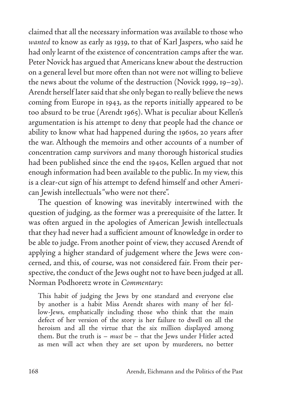claimed that all the necessary information was available to those who *wanted* to know as early as 1939, to that of Karl Jaspers, who said he had only learnt of the existence of concentration camps after the war. Peter Novick has argued that Americans knew about the destruction on a general level but more often than not were not willing to believe the news about the volume of the destruction (Novick 1999, 19–29). Arendt herself later said that she only began to really believe the news coming from Europe in 1943, as the reports initially appeared to be too absurd to be true (Arendt 1965). What is peculiar about Kellen's argumentation is his attempt to deny that people had the chance or ability to know what had happened during the 1960s, 20 years after the war. Although the memoirs and other accounts of a number of concentration camp survivors and many thorough historical studies had been published since the end the 1940s, Kellen argued that not enough information had been available to the public. In my view, this is a clear-cut sign of his attempt to defend himself and other American Jewish intellectuals "who were not there".

The question of knowing was inevitably intertwined with the question of judging, as the former was a prerequisite of the latter. It was often argued in the apologies of American Jewish intellectuals that they had never had a sufficient amount of knowledge in order to be able to judge. From another point of view, they accused Arendt of applying a higher standard of judgement where the Jews were concerned, and this, of course, was not considered fair. From their perspective, the conduct of the Jews ought not to have been judged at all. Norman Podhoretz wrote in *Commentary*:

This habit of judging the Jews by one standard and everyone else by another is a habit Miss Arendt shares with many of her fellow-Jews, emphatically including those who think that the main defect of her version of the story is her failure to dwell on all the heroism and all the virtue that the six million displayed among them. But the truth is – *must* be – that the Jews under Hitler acted as men will act when they are set upon by murderers, no better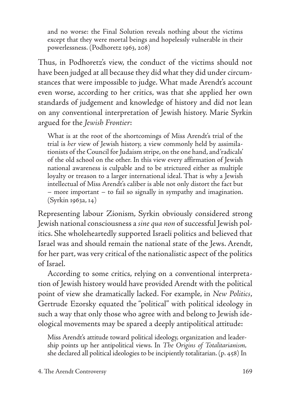and no worse: the Final Solution reveals nothing about the victims except that they were mortal beings and hopelessly vulnerable in their powerlessness. (Podhoretz 1963, 208)

Thus, in Podhoretz's view, the conduct of the victims should not have been judged at all because they did what they did under circumstances that were impossible to judge. What made Arendt's account even worse, according to her critics, was that she applied her own standards of judgement and knowledge of history and did not lean on any conventional interpretation of Jewish history. Marie Syrkin argued for the *Jewish Frontier*:

What is at the root of the shortcomings of Miss Arendt's trial of the trial is *her* view of Jewish history, a view commonly held by assimilationists of the Council for Judaism stripe, on the one hand, and 'radicals' of the old school on the other. In this view every affirmation of Jewish national awareness is culpable and to be strictured either as multiple loyalty or treason to a larger international ideal. That is why a Jewish intellectual of Miss Arendt's caliber is able not only distort the fact but – more important – to fail so signally in sympathy and imagination. (Syrkin 1963a, 14)

Representing labour Zionism, Syrkin obviously considered strong Jewish national consciousness a *sine qua non* of successful Jewish politics. She wholeheartedly supported Israeli politics and believed that Israel was and should remain the national state of the Jews. Arendt, for her part, was very critical of the nationalistic aspect of the politics of Israel.

According to some critics, relying on a conventional interpretation of Jewish history would have provided Arendt with the political point of view she dramatically lacked. For example, in *New Politics*, Gertrude Ezorsky equated the "political" with political ideology in such a way that only those who agree with and belong to Jewish ideological movements may be spared a deeply antipolitical attitude:

Miss Arendt's attitude toward political ideology, organization and leadership points up her antipolitical views. In *The Origins of Totalitarianism,* she declared all political ideologies to be incipiently totalitarian. (p. 458) In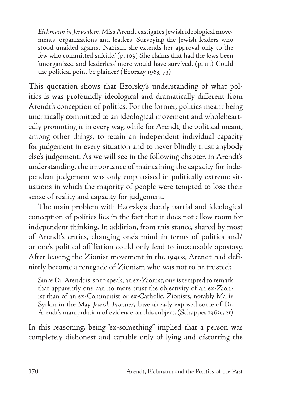*Eichmann in Jerusalem*, Miss Arendt castigates Jewish ideological movements, organizations and leaders. Surveying the Jewish leaders who stood unaided against Nazism, she extends her approval only to 'the few who committed suicide.' (p. 105) She claims that had the Jews been 'unorganized and leaderless' more would have survived. (p. 111) Could the political point be plainer? (Ezorsky 1963, 73)

This quotation shows that Ezorsky's understanding of what politics is was profoundly ideological and dramatically different from Arendt's conception of politics. For the former, politics meant being uncritically committed to an ideological movement and wholeheartedly promoting it in every way, while for Arendt, the political meant, among other things, to retain an independent individual capacity for judgement in every situation and to never blindly trust anybody else's judgement. As we will see in the following chapter, in Arendt's understanding, the importance of maintaining the capacity for independent judgement was only emphasised in politically extreme situations in which the majority of people were tempted to lose their sense of reality and capacity for judgement.

The main problem with Ezorsky's deeply partial and ideological conception of politics lies in the fact that it does not allow room for independent thinking. In addition, from this stance, shared by most of Arendt's critics, changing one's mind in terms of politics and/ or one's political affiliation could only lead to inexcusable apostasy. After leaving the Zionist movement in the 1940s, Arendt had definitely become a renegade of Zionism who was not to be trusted:

Since Dr. Arendt is, so to speak, an ex-Zionist, one is tempted to remark that apparently one can no more trust the objectivity of an ex-Zionist than of an ex-Communist or ex-Catholic. Zionists, notably Marie Syrkin in the May *Jewish Frontier*, have already exposed some of Dr. Arendt's manipulation of evidence on this subject. (Schappes 1963c, 21)

In this reasoning, being "ex-something" implied that a person was completely dishonest and capable only of lying and distorting the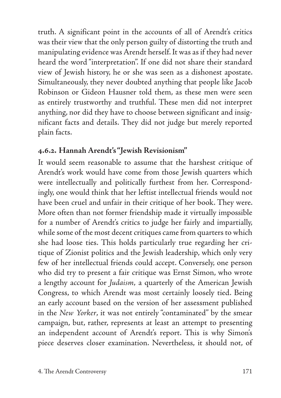truth. A significant point in the accounts of all of Arendt's critics was their view that the only person guilty of distorting the truth and manipulating evidence was Arendt herself. It was as if they had never heard the word "interpretation". If one did not share their standard view of Jewish history, he or she was seen as a dishonest apostate. Simultaneously, they never doubted anything that people like Jacob Robinson or Gideon Hausner told them, as these men were seen as entirely trustworthy and truthful. These men did not interpret anything, nor did they have to choose between significant and insignificant facts and details. They did not judge but merely reported plain facts.

## **4.6.2. Hannah Arendt's "Jewish Revisionism"**

It would seem reasonable to assume that the harshest critique of Arendt's work would have come from those Jewish quarters which were intellectually and politically furthest from her. Correspondingly, one would think that her leftist intellectual friends would not have been cruel and unfair in their critique of her book. They were. More often than not former friendship made it virtually impossible for a number of Arendt's critics to judge her fairly and impartially, while some of the most decent critiques came from quarters to which she had loose ties. This holds particularly true regarding her critique of Zionist politics and the Jewish leadership, which only very few of her intellectual friends could accept. Conversely, one person who did try to present a fair critique was Ernst Simon, who wrote a lengthy account for *Judaism*, a quarterly of the American Jewish Congress, to which Arendt was most certainly loosely tied. Being an early account based on the version of her assessment published in the *New Yorker*, it was not entirely "contaminated" by the smear campaign, but, rather, represents at least an attempt to presenting an independent account of Arendt's report. This is why Simon's piece deserves closer examination. Nevertheless, it should not, of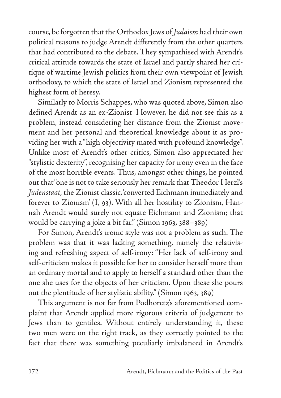course, be forgotten that the Orthodox Jews of *Judaism* had their own political reasons to judge Arendt differently from the other quarters that had contributed to the debate. They sympathised with Arendt's critical attitude towards the state of Israel and partly shared her critique of wartime Jewish politics from their own viewpoint of Jewish orthodoxy, to which the state of Israel and Zionism represented the highest form of heresy.

Similarly to Morris Schappes, who was quoted above, Simon also defined Arendt as an ex-Zionist. However, he did not see this as a problem, instead considering her distance from the Zionist movement and her personal and theoretical knowledge about it as providing her with a "high objectivity mated with profound knowledge". Unlike most of Arendt's other critics, Simon also appreciated her "stylistic dexterity", recognising her capacity for irony even in the face of the most horrible events. Thus, amongst other things, he pointed out that "one is not to take seriously her remark that Theodor Herzl's *Judenstaat*, the Zionist classic, 'converted Eichmann immediately and forever to Zionism' (I, 93). With all her hostility to Zionism, Hannah Arendt would surely not equate Eichmann and Zionism; that would be carrying a joke a bit far." (Simon 1963, 388–389)

For Simon, Arendt's ironic style was not a problem as such. The problem was that it was lacking something, namely the relativising and refreshing aspect of self-irony: "Her lack of self-irony and self-criticism makes it possible for her to consider herself more than an ordinary mortal and to apply to herself a standard other than the one she uses for the objects of her criticism. Upon these she pours out the plentitude of her stylistic ability." (Simon 1963, 389)

This argument is not far from Podhoretz's aforementioned complaint that Arendt applied more rigorous criteria of judgement to Jews than to gentiles. Without entirely understanding it, these two men were on the right track, as they correctly pointed to the fact that there was something peculiarly imbalanced in Arendt's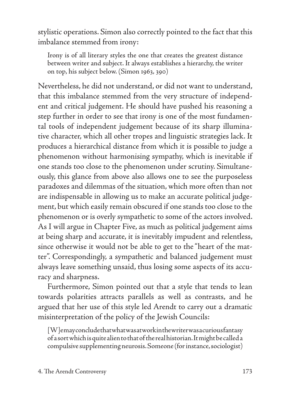stylistic operations. Simon also correctly pointed to the fact that this imbalance stemmed from irony:

Irony is of all literary styles the one that creates the greatest distance between writer and subject. It always establishes a hierarchy, the writer on top, his subject below. (Simon 1963, 390)

Nevertheless, he did not understand, or did not want to understand, that this imbalance stemmed from the very structure of independent and critical judgement. He should have pushed his reasoning a step further in order to see that irony is one of the most fundamental tools of independent judgement because of its sharp illuminative character, which all other tropes and linguistic strategies lack. It produces a hierarchical distance from which it is possible to judge a phenomenon without harmonising sympathy, which is inevitable if one stands too close to the phenomenon under scrutiny. Simultaneously, this glance from above also allows one to see the purposeless paradoxes and dilemmas of the situation, which more often than not are indispensable in allowing us to make an accurate political judgement, but which easily remain obscured if one stands too close to the phenomenon or is overly sympathetic to some of the actors involved. As I will argue in Chapter Five, as much as political judgement aims at being sharp and accurate, it is inevitably impudent and relentless, since otherwise it would not be able to get to the "heart of the matter". Correspondingly, a sympathetic and balanced judgement must always leave something unsaid, thus losing some aspects of its accuracy and sharpness.

Furthermore, Simon pointed out that a style that tends to lean towards polarities attracts parallels as well as contrasts, and he argued that her use of this style led Arendt to carry out a dramatic misinterpretation of the policy of the Jewish Councils:

[W]e may conclude that what was at work in the writer was a curious fantasy of a sort which is quite alien to that of the real historian. It might be called a compulsive supplementing neurosis. Someone (for instance, sociologist)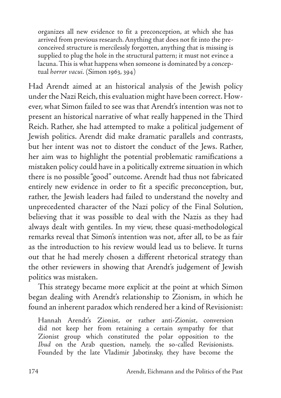organizes all new evidence to fit a preconception, at which she has arrived from previous research. Anything that does not fit into the preconceived structure is mercilessly forgotten, anything that is missing is supplied to plug the hole in the structural pattern; it must not evince a lacuna. This is what happens when someone is dominated by a conceptual *horror vacui.* (Simon 1963, 394)

Had Arendt aimed at an historical analysis of the Jewish policy under the Nazi Reich, this evaluation might have been correct. However, what Simon failed to see was that Arendt's intention was not to present an historical narrative of what really happened in the Third Reich. Rather, she had attempted to make a political judgement of Jewish politics. Arendt did make dramatic parallels and contrasts, but her intent was not to distort the conduct of the Jews. Rather, her aim was to highlight the potential problematic ramifications a mistaken policy could have in a politically extreme situation in which there is no possible "good" outcome. Arendt had thus not fabricated entirely new evidence in order to fit a specific preconception, but, rather, the Jewish leaders had failed to understand the novelty and unprecedented character of the Nazi policy of the Final Solution, believing that it was possible to deal with the Nazis as they had always dealt with gentiles. In my view, these quasi-methodological remarks reveal that Simon's intention was not, after all, to be as fair as the introduction to his review would lead us to believe. It turns out that he had merely chosen a different rhetorical strategy than the other reviewers in showing that Arendt's judgement of Jewish politics was mistaken.

This strategy became more explicit at the point at which Simon began dealing with Arendt's relationship to Zionism, in which he found an inherent paradox which rendered her a kind of Revisionist:

Hannah Arendt's Zionist, or rather anti-Zionist, conversion did not keep her from retaining a certain sympathy for that Zionist group which constituted the polar opposition to the *Ihud* on the Arab question, namely, the so-called Revisionists. Founded by the late Vladimir Jabotinsky, they have become the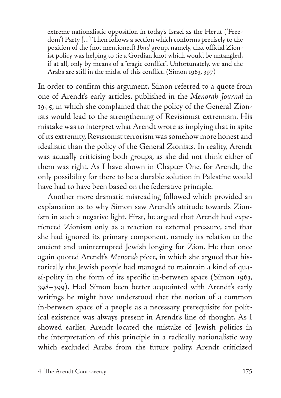extreme nationalistic opposition in today's Israel as the Herut ('Freedom') Party [...] Then follows a section which conforms precisely to the position of the (not mentioned) *Ihud* group, namely, that official Zionist policy was helping to tie a Gordian knot which would be untangled, if at all, only by means of a "tragic conflict". Unfortunately, we and the Arabs are still in the midst of this conflict. (Simon 1963, 397)

In order to confirm this argument, Simon referred to a quote from one of Arendt's early articles, published in the *Menorah Journal* in 1945, in which she complained that the policy of the General Zionists would lead to the strengthening of Revisionist extremism. His mistake was to interpret what Arendt wrote as implying that in spite of its extremity, Revisionist terrorism was somehow more honest and idealistic than the policy of the General Zionists. In reality, Arendt was actually criticising both groups, as she did not think either of them was right. As I have shown in Chapter One, for Arendt, the only possibility for there to be a durable solution in Palestine would have had to have been based on the federative principle.

Another more dramatic misreading followed which provided an explanation as to why Simon saw Arendt's attitude towards Zionism in such a negative light. First, he argued that Arendt had experienced Zionism only as a reaction to external pressure, and that she had ignored its primary component, namely its relation to the ancient and uninterrupted Jewish longing for Zion. He then once again quoted Arendt's *Menorah* piece, in which she argued that historically the Jewish people had managed to maintain a kind of quasi-polity in the form of its specific in-between space (Simon 1963, 398–399). Had Simon been better acquainted with Arendt's early writings he might have understood that the notion of a common in-between space of a people as a necessary prerequisite for political existence was always present in Arendt's line of thought. As I showed earlier, Arendt located the mistake of Jewish politics in the interpretation of this principle in a radically nationalistic way which excluded Arabs from the future polity. Arendt criticized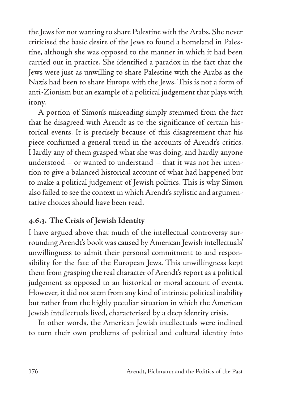the Jews for not wanting to share Palestine with the Arabs. She never criticised the basic desire of the Jews to found a homeland in Palestine, although she was opposed to the manner in which it had been carried out in practice. She identified a paradox in the fact that the Jews were just as unwilling to share Palestine with the Arabs as the Nazis had been to share Europe with the Jews. This is not a form of anti-Zionism but an example of a political judgement that plays with irony.

A portion of Simon's misreading simply stemmed from the fact that he disagreed with Arendt as to the significance of certain historical events. It is precisely because of this disagreement that his piece confirmed a general trend in the accounts of Arendt's critics. Hardly any of them grasped what she was doing, and hardly anyone understood – or wanted to understand – that it was not her intention to give a balanced historical account of what had happened but to make a political judgement of Jewish politics. This is why Simon also failed to see the context in which Arendt's stylistic and argumentative choices should have been read.

## **4.6.3. The Crisis of Jewish Identity**

I have argued above that much of the intellectual controversy surrounding Arendt's book was caused by American Jewish intellectuals' unwillingness to admit their personal commitment to and responsibility for the fate of the European Jews. This unwillingness kept them from grasping the real character of Arendt's report as a political judgement as opposed to an historical or moral account of events. However, it did not stem from any kind of intrinsic political inability but rather from the highly peculiar situation in which the American Jewish intellectuals lived, characterised by a deep identity crisis.

In other words, the American Jewish intellectuals were inclined to turn their own problems of political and cultural identity into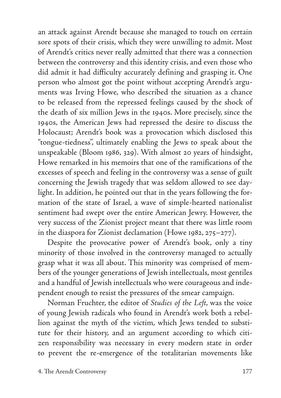an attack against Arendt because she managed to touch on certain sore spots of their crisis, which they were unwilling to admit. Most of Arendt's critics never really admitted that there was a connection between the controversy and this identity crisis, and even those who did admit it had difficulty accurately defining and grasping it. One person who almost got the point without accepting Arendt's arguments was Irving Howe, who described the situation as a chance to be released from the repressed feelings caused by the shock of the death of six million Jews in the 1940s. More precisely, since the 1940s, the American Jews had repressed the desire to discuss the Holocaust; Arendt's book was a provocation which disclosed this "tongue-tiedness", ultimately enabling the Jews to speak about the unspeakable (Bloom 1986, 329). With almost 20 years of hindsight, Howe remarked in his memoirs that one of the ramifications of the excesses of speech and feeling in the controversy was a sense of guilt concerning the Jewish tragedy that was seldom allowed to see daylight. In addition, he pointed out that in the years following the formation of the state of Israel, a wave of simple-hearted nationalist sentiment had swept over the entire American Jewry. However, the very success of the Zionist project meant that there was little room in the diaspora for Zionist declamation (Howe 1982, 275–277).

Despite the provocative power of Arendt's book, only a tiny minority of those involved in the controversy managed to actually grasp what it was all about. This minority was comprised of members of the younger generations of Jewish intellectuals, most gentiles and a handful of Jewish intellectuals who were courageous and independent enough to resist the pressures of the smear campaign.

Norman Fruchter, the editor of *Studies of the Left*, was the voice of young Jewish radicals who found in Arendt's work both a rebellion against the myth of the victim, which Jews tended to substitute for their history, and an argument according to which citizen responsibility was necessary in every modern state in order to prevent the re-emergence of the totalitarian movements like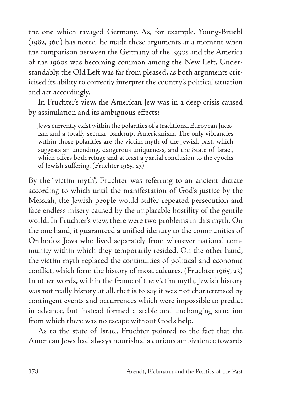the one which ravaged Germany. As, for example, Young-Bruehl (1982, 360) has noted, he made these arguments at a moment when the comparison between the Germany of the 1930s and the America of the 1960s was becoming common among the New Left. Understandably, the Old Left was far from pleased, as both arguments criticised its ability to correctly interpret the country's political situation and act accordingly.

In Fruchter's view, the American Jew was in a deep crisis caused by assimilation and its ambiguous effects:

Jews currently exist within the polarities of a traditional European Judaism and a totally secular, bankrupt Americanism. The only vibrancies within those polarities are the victim myth of the Jewish past, which suggests an unending, dangerous uniqueness, and the State of Israel, which offers both refuge and at least a partial conclusion to the epochs of Jewish suffering. (Fruchter 1965, 23)

By the "victim myth", Fruchter was referring to an ancient dictate according to which until the manifestation of God's justice by the Messiah, the Jewish people would suffer repeated persecution and face endless misery caused by the implacable hostility of the gentile world. In Fruchter's view, there were two problems in this myth. On the one hand, it guaranteed a unified identity to the communities of Orthodox Jews who lived separately from whatever national community within which they temporarily resided. On the other hand, the victim myth replaced the continuities of political and economic conflict, which form the history of most cultures. (Fruchter 1965, 23) In other words, within the frame of the victim myth, Jewish history was not really history at all, that is to say it was not characterised by contingent events and occurrences which were impossible to predict in advance, but instead formed a stable and unchanging situation from which there was no escape without God's help.

As to the state of Israel, Fruchter pointed to the fact that the American Jews had always nourished a curious ambivalence towards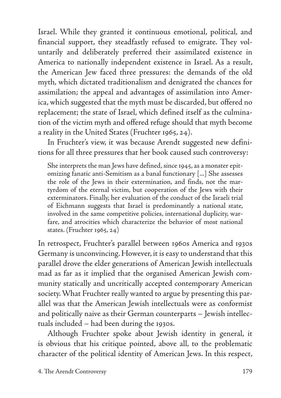Israel. While they granted it continuous emotional, political, and financial support, they steadfastly refused to emigrate. They voluntarily and deliberately preferred their assimilated existence in America to nationally independent existence in Israel. As a result, the American Jew faced three pressures: the demands of the old myth, which dictated traditionalism and denigrated the chances for assimilation; the appeal and advantages of assimilation into America, which suggested that the myth must be discarded, but offered no replacement; the state of Israel, which defined itself as the culmination of the victim myth and offered refuge should that myth become a reality in the United States (Fruchter 1965, 24).

In Fruchter's view, it was because Arendt suggested new definitions for all three pressures that her book caused such controversy:

She interprets the man Jews have defined, since 1945, as a monster epitomizing fanatic anti-Semitism as a banal functionary [...] She assesses the role of the Jews in their extermination, and finds, not the martyrdom of the eternal victim, but cooperation of the Jews with their exterminators. Finally, her evaluation of the conduct of the Israeli trial of Eichmann suggests that Israel is predominantly a national state, involved in the same competitive policies, international duplicity, warfare, and atrocities which characterize the behavior of most national states. (Fruchter 1965, 24)

In retrospect, Fruchter's parallel between 1960s America and 1930s Germany is unconvincing. However, it is easy to understand that this parallel drove the elder generations of American Jewish intellectuals mad as far as it implied that the organised American Jewish community statically and uncritically accepted contemporary American society. What Fruchter really wanted to argue by presenting this parallel was that the American Jewish intellectuals were as conformist and politically naive as their German counterparts – Jewish intellectuals included – had been during the 1930s.

Although Fruchter spoke about Jewish identity in general, it is obvious that his critique pointed, above all, to the problematic character of the political identity of American Jews. In this respect,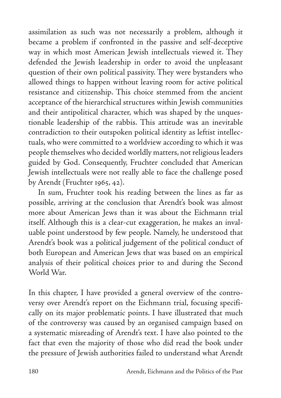assimilation as such was not necessarily a problem, although it became a problem if confronted in the passive and self-deceptive way in which most American Jewish intellectuals viewed it. They defended the Jewish leadership in order to avoid the unpleasant question of their own political passivity. They were bystanders who allowed things to happen without leaving room for active political resistance and citizenship. This choice stemmed from the ancient acceptance of the hierarchical structures within Jewish communities and their antipolitical character, which was shaped by the unquestionable leadership of the rabbis. This attitude was an inevitable contradiction to their outspoken political identity as leftist intellectuals, who were committed to a worldview according to which it was people themselves who decided worldly matters, not religious leaders guided by God. Consequently, Fruchter concluded that American Jewish intellectuals were not really able to face the challenge posed by Arendt (Fruchter 1965, 42).

In sum, Fruchter took his reading between the lines as far as possible, arriving at the conclusion that Arendt's book was almost more about American Jews than it was about the Eichmann trial itself. Although this is a clear-cut exaggeration, he makes an invaluable point understood by few people. Namely, he understood that Arendt's book was a political judgement of the political conduct of both European and American Jews that was based on an empirical analysis of their political choices prior to and during the Second World War.

In this chapter, I have provided a general overview of the controversy over Arendt's report on the Eichmann trial, focusing specifically on its major problematic points. I have illustrated that much of the controversy was caused by an organised campaign based on a systematic misreading of Arendt's text. I have also pointed to the fact that even the majority of those who did read the book under the pressure of Jewish authorities failed to understand what Arendt